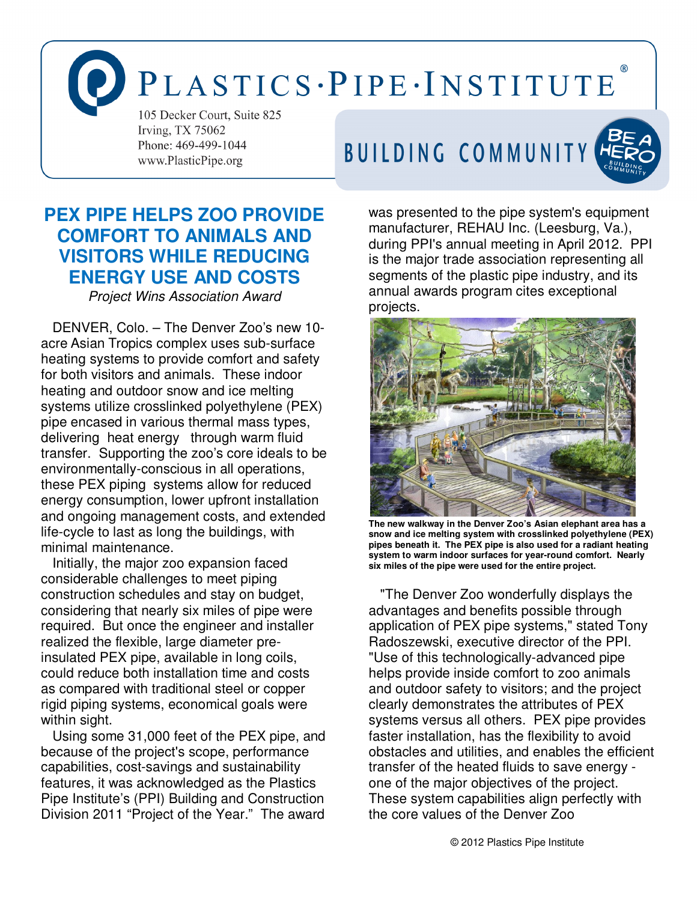# PLASTICS·PIPE·INSTITUTE

105 Decker Court, Suite 825 Irving, TX 75062 Phone: 469-499-1044 www.PlasticPipe.org

### BUILDING COMMUNITY



### **PEX PIPE HELPS ZOO PROVIDE COMFORT TO ANIMALS AND VISITORS WHILE REDUCING ENERGY USE AND COSTS**

Project Wins Association Award

 DENVER, Colo. – The Denver Zoo's new 10 acre Asian Tropics complex uses sub-surface heating systems to provide comfort and safety for both visitors and animals. These indoor heating and outdoor snow and ice melting systems utilize crosslinked polyethylene (PEX) pipe encased in various thermal mass types, delivering heat energy through warm fluid transfer. Supporting the zoo's core ideals to be environmentally-conscious in all operations, these PEX piping systems allow for reduced energy consumption, lower upfront installation and ongoing management costs, and extended life-cycle to last as long the buildings, with minimal maintenance.

 Initially, the major zoo expansion faced considerable challenges to meet piping construction schedules and stay on budget, considering that nearly six miles of pipe were required. But once the engineer and installer realized the flexible, large diameter preinsulated PEX pipe, available in long coils, could reduce both installation time and costs as compared with traditional steel or copper rigid piping systems, economical goals were within sight.

 Using some 31,000 feet of the PEX pipe, and because of the project's scope, performance capabilities, cost-savings and sustainability features, it was acknowledged as the Plastics Pipe Institute's (PPI) Building and Construction Division 2011 "Project of the Year." The award

was presented to the pipe system's equipment manufacturer, REHAU Inc. (Leesburg, Va.), during PPI's annual meeting in April 2012. PPI is the major trade association representing all segments of the plastic pipe industry, and its annual awards program cites exceptional projects.



**The new walkway in the Denver Zoo's Asian elephant area has a snow and ice melting system with crosslinked polyethylene (PEX) pipes beneath it. The PEX pipe is also used for a radiant heating system to warm indoor surfaces for year-round comfort. Nearly six miles of the pipe were used for the entire project.** 

 "The Denver Zoo wonderfully displays the advantages and benefits possible through application of PEX pipe systems," stated Tony Radoszewski, executive director of the PPI. "Use of this technologically-advanced pipe helps provide inside comfort to zoo animals and outdoor safety to visitors; and the project clearly demonstrates the attributes of PEX systems versus all others. PEX pipe provides faster installation, has the flexibility to avoid obstacles and utilities, and enables the efficient transfer of the heated fluids to save energy one of the major objectives of the project. These system capabilities align perfectly with the core values of the Denver Zoo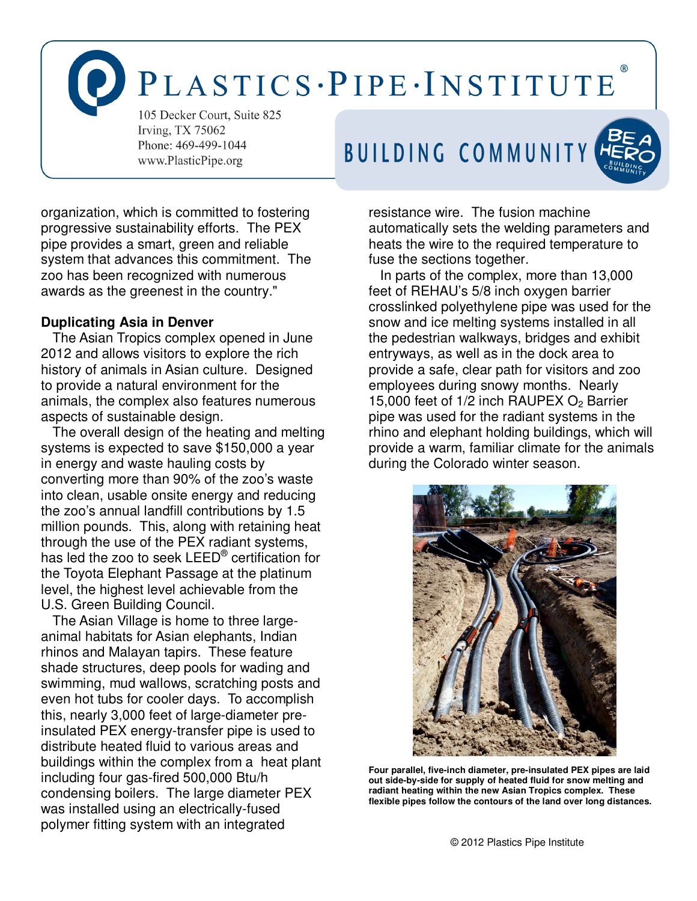PLASTICS·PIPE·INSTITUTE

105 Decker Court, Suite 825 Irving, TX 75062 Phone: 469-499-1044 www.PlasticPipe.org





organization, which is committed to fostering progressive sustainability efforts. The PEX pipe provides a smart, green and reliable system that advances this commitment. The zoo has been recognized with numerous awards as the greenest in the country."

#### **Duplicating Asia in Denver**

The Asian Tropics complex opened in June 2012 and allows visitors to explore the rich history of animals in Asian culture. Designed to provide a natural environment for the animals, the complex also features numerous aspects of sustainable design.

The overall design of the heating and melting systems is expected to save \$150,000 a year in energy and waste hauling costs by converting more than 90% of the zoo's waste into clean, usable onsite energy and reducing the zoo's annual landfill contributions by 1.5 million pounds. This, along with retaining heat through the use of the PEX radiant systems, has led the zoo to seek LEED® certification for the Toyota Elephant Passage at the platinum level, the highest level achievable from the U.S. Green Building Council.

The Asian Village is home to three largeanimal habitats for Asian elephants, Indian rhinos and Malayan tapirs. These feature shade structures, deep pools for wading and swimming, mud wallows, scratching posts and even hot tubs for cooler days. To accomplish this, nearly 3,000 feet of large-diameter preinsulated PEX energy-transfer pipe is used to distribute heated fluid to various areas and buildings within the complex from a heat plant including four gas-fired 500,000 Btu/h condensing boilers. The large diameter PEX was installed using an electrically-fused polymer fitting system with an integrated

resistance wire. The fusion machine automatically sets the welding parameters and heats the wire to the required temperature to fuse the sections together.

In parts of the complex, more than 13,000 feet of REHAU's 5/8 inch oxygen barrier crosslinked polyethylene pipe was used for the snow and ice melting systems installed in all the pedestrian walkways, bridges and exhibit entryways, as well as in the dock area to provide a safe, clear path for visitors and zoo employees during snowy months. Nearly 15,000 feet of  $1/2$  inch RAUPEX  $O<sub>2</sub>$  Barrier pipe was used for the radiant systems in the rhino and elephant holding buildings, which will provide a warm, familiar climate for the animals during the Colorado winter season.



**Four parallel, five-inch diameter, pre-insulated PEX pipes are laid out side-by-side for supply of heated fluid for snow melting and radiant heating within the new Asian Tropics complex. These flexible pipes follow the contours of the land over long distances.**